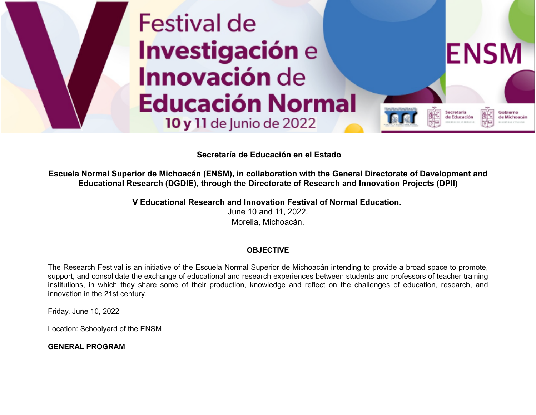

## **Secretaría de Educación en el Estado**

**Escuela Normal Superior de Michoacán (ENSM), in collaboration with the General Directorate of Development and Educational Research (DGDIE), through the Directorate of Research and Innovation Projects (DPII)** 

> **V Educational Research and Innovation Festival of Normal Education.** June 10 and 11, 2022. Morelia, Michoacán.

### **OBJECTIVE**

The Research Festival is an initiative of the Escuela Normal Superior de Michoacán intending to provide a broad space to promote, support, and consolidate the exchange of educational and research experiences between students and professors of teacher training institutions, in which they share some of their production, knowledge and reflect on the challenges of education, research, and innovation in the 21st century.

Friday, June 10, 2022

Location: Schoolyard of the ENSM

**GENERAL PROGRAM**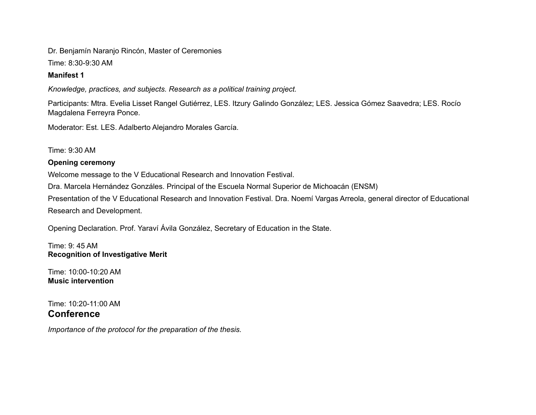Dr. Benjamín Naranjo Rincón, Master of Ceremonies

Time: 8:30-9:30 AM

## **Manifest 1**

*Knowledge, practices, and subjects. Research as a political training project.*

Participants: Mtra. Evelia Lisset Rangel Gutiérrez, LES. Itzury Galindo González; LES. Jessica Gómez Saavedra; LES. Rocío Magdalena Ferreyra Ponce.

Moderator: Est. LES. Adalberto Alejandro Morales García.

Time: 9:30 AM

## **Opening ceremony**

Welcome message to the V Educational Research and Innovation Festival.

Dra. Marcela Hernández Gonzáles. Principal of the Escuela Normal Superior de Michoacán (ENSM)

Presentation of the V Educational Research and Innovation Festival. Dra. Noemí Vargas Arreola, general director of Educational Research and Development.

Opening Declaration. Prof. Yaraví Ávila González, Secretary of Education in the State.

Time: 9: 45 AM **Recognition of Investigative Merit**

Time: 10:00-10:20 AM **Music intervention**

Time: 10:20-11:00 AM **Conference**

*Importance of the protocol for the preparation of the thesis.*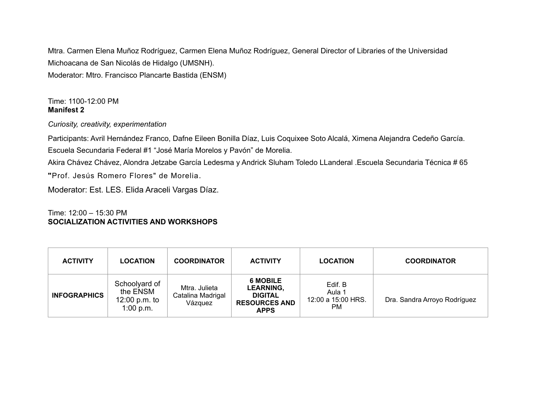Mtra. Carmen Elena Muñoz Rodríguez, Carmen Elena Muñoz Rodríguez, General Director of Libraries of the Universidad Michoacana de San Nicolás de Hidalgo (UMSNH). Moderator: Mtro. Francisco Plancarte Bastida (ENSM)

## Time: 1100-12:00 PM **Manifest 2**

*Curiosity, creativity, experimentation*

Participants: Avril Hernández Franco, Dafne Eileen Bonilla Díaz, Luis Coquixee Soto Alcalá, Ximena Alejandra Cedeño García. Escuela Secundaria Federal #1 "José María Morelos y Pavón" de Morelia.

Akira Chávez Chávez, Alondra Jetzabe García Ledesma y Andrick Sluham Toledo LLanderal .Escuela Secundaria Técnica # 65

**"**Prof. Jesús Romero Flores" de Morelia.

Moderator: Est. LES. Elida Araceli Vargas Díaz.

## Time: 12:00 – 15:30 PM **SOCIALIZATION ACTIVITIES AND WORKSHOPS**

| <b>ACTIVITY</b>     | LOCATION                                                | <b>COORDINATOR</b>                            | <b>ACTIVITY</b>                                                                              | <b>LOCATION</b>                                | <b>COORDINATOR</b>           |
|---------------------|---------------------------------------------------------|-----------------------------------------------|----------------------------------------------------------------------------------------------|------------------------------------------------|------------------------------|
| <b>INFOGRAPHICS</b> | Schoolyard of<br>the ENSM<br>12:00 p.m. to<br>1:00 p.m. | Mtra. Julieta<br>Catalina Madrigal<br>Vázquez | <b>6 MOBILE</b><br><b>LEARNING,</b><br><b>DIGITAL</b><br><b>RESOURCES AND</b><br><b>APPS</b> | Edif. B<br>Aula 1<br>12:00 a 15:00 HRS.<br>PM. | Dra. Sandra Arroyo Rodríguez |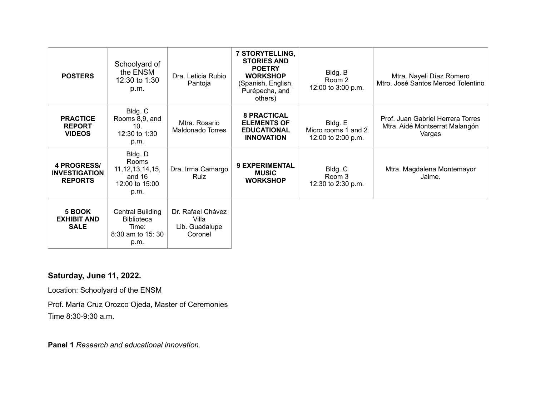| <b>POSTERS</b>                                               | Schoolyard of<br>the ENSM<br>12:30 to 1:30<br>p.m.                                | Dra. Leticia Rubio<br>Pantoja                           | 7 STORYTELLING,<br><b>STORIES AND</b><br><b>POETRY</b><br><b>WORKSHOP</b><br>(Spanish, English,<br>Purépecha, and<br>others) | Bldg. B<br>Room 2<br>12:00 to 3:00 p.m.              | Mtra. Nayeli Díaz Romero<br>Mtro. José Santos Merced Tolentino                |
|--------------------------------------------------------------|-----------------------------------------------------------------------------------|---------------------------------------------------------|------------------------------------------------------------------------------------------------------------------------------|------------------------------------------------------|-------------------------------------------------------------------------------|
| <b>PRACTICE</b><br><b>REPORT</b><br><b>VIDEOS</b>            | Bldg. C<br>Rooms 8,9, and<br>10 <sub>1</sub><br>12:30 to 1:30<br>p.m.             | Mtra. Rosario<br>Maldonado Torres                       | <b>8 PRACTICAL</b><br><b>ELEMENTS OF</b><br><b>EDUCATIONAL</b><br><b>INNOVATION</b>                                          | Bldg. E<br>Micro rooms 1 and 2<br>12:00 to 2:00 p.m. | Prof. Juan Gabriel Herrera Torres<br>Mtra. Aidé Montserrat Malangón<br>Vargas |
| <b>4 PROGRESS/</b><br><b>INVESTIGATION</b><br><b>REPORTS</b> | Bldg. D<br>Rooms<br>11, 12, 13, 14, 15,<br>and 16<br>12:00 to 15:00<br>p.m.       | Dra. Irma Camargo<br>Ruiz                               | <b>9 EXPERIMENTAL</b><br><b>MUSIC</b><br><b>WORKSHOP</b>                                                                     | Bldg. C<br>Room 3<br>12:30 to 2:30 p.m.              | Mtra. Magdalena Montemayor<br>Jaime.                                          |
| 5 BOOK<br><b>EXHIBIT AND</b><br><b>SALE</b>                  | <b>Central Building</b><br><b>Biblioteca</b><br>Time:<br>8:30 am to 15:30<br>p.m. | Dr. Rafael Chávez<br>Villa<br>Lib. Guadalupe<br>Coronel |                                                                                                                              |                                                      |                                                                               |

## **Saturday, June 11, 2022.**

Location: Schoolyard of the ENSM

Prof. María Cruz Orozco Ojeda, Master of Ceremonies Time 8:30-9:30 a.m.

**Panel 1** *Research and educational innovation.*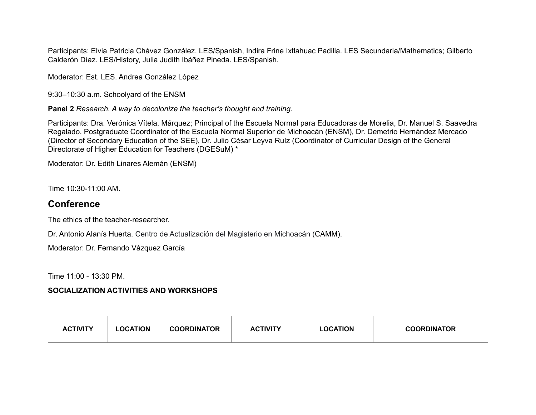Participants: Elvia Patricia Chávez González. LES/Spanish, Indira Frine Ixtlahuac Padilla. LES Secundaria/Mathematics; Gilberto Calderón Díaz. LES/History, Julia Judith Ibáñez Pineda. LES/Spanish.

Moderator: Est. LES. Andrea González López

9:30–10:30 a.m. Schoolyard of the ENSM

**Panel 2** *Research. A way to decolonize the teacher's thought and training*.

Participants: Dra. Verónica Vítela. Márquez; Principal of the Escuela Normal para Educadoras de Morelia, Dr. Manuel S. Saavedra Regalado. Postgraduate Coordinator of the Escuela Normal Superior de Michoacán (ENSM), Dr. Demetrio Hernández Mercado (Director of Secondary Education of the SEE), Dr. Julio César Leyva Ruíz (Coordinator of Curricular Design of the General Directorate of Higher Education for Teachers (DGESuM) \*

Moderator: Dr. Edith Linares Alemán (ENSM)

Time 10:30-11:00 AM.

## **Conference**

The ethics of the teacher-researcher.

Dr. Antonio Alanís Huerta. Centro de Actualización del Magisterio en Michoacán (CAMM).

Moderator: Dr. Fernando Vázquez García

Time 11:00 - 13:30 PM.

#### **SOCIALIZATION ACTIVITIES AND WORKSHOPS**

| <b>ACTIVITY</b> | LOCATION | <b>COORDINATOR</b> | ACTIVITY | <b>LOCATION</b> | <b>COORDINATOR</b> |
|-----------------|----------|--------------------|----------|-----------------|--------------------|
|                 |          |                    |          |                 |                    |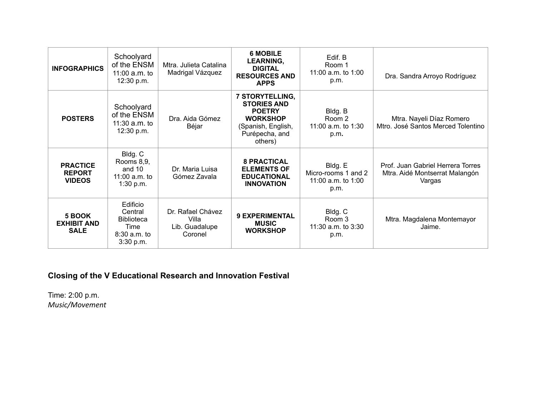| <b>INFOGRAPHICS</b>                               | Schoolyard<br>of the ENSM<br>11:00 $a.m.$ to<br>12:30 p.m.                      | Mtra. Julieta Catalina<br>Madrigal Vázquez              | <b>6 MOBILE</b><br>LEARNING,<br><b>DIGITAL</b><br><b>RESOURCES AND</b><br><b>APPS</b>                                        | Edif. B<br>Room 1<br>11:00 a.m. to 1:00<br>p.m.              | Dra. Sandra Arroyo Rodríguez                                                  |
|---------------------------------------------------|---------------------------------------------------------------------------------|---------------------------------------------------------|------------------------------------------------------------------------------------------------------------------------------|--------------------------------------------------------------|-------------------------------------------------------------------------------|
| <b>POSTERS</b>                                    | Schoolyard<br>of the ENSM<br>11:30 $a.m.$ to<br>12:30 p.m.                      | Dra. Aida Gómez<br>Béjar                                | 7 STORYTELLING,<br><b>STORIES AND</b><br><b>POETRY</b><br><b>WORKSHOP</b><br>(Spanish, English,<br>Purépecha, and<br>others) | Bldg. B<br>Room 2<br>11:00 a.m. to 1:30<br>p.m.              | Mtra. Nayeli Díaz Romero<br>Mtro. José Santos Merced Tolentino                |
| <b>PRACTICE</b><br><b>REPORT</b><br><b>VIDEOS</b> | Bldg. C<br>Rooms 8,9,<br>and 10<br>11:00 $a.m.$ to<br>1:30 p.m.                 | Dr. Maria Luisa<br>Gómez Zavala                         | <b>8 PRACTICAL</b><br><b>ELEMENTS OF</b><br><b>EDUCATIONAL</b><br><b>INNOVATION</b>                                          | Bldg. E<br>Micro-rooms 1 and 2<br>11:00 a.m. to 1:00<br>p.m. | Prof. Juan Gabriel Herrera Torres<br>Mtra. Aidé Montserrat Malangón<br>Vargas |
| 5 BOOK<br><b>EXHIBIT AND</b><br><b>SALE</b>       | Edificio<br>Central<br><b>Biblioteca</b><br>Time<br>$8:30$ a.m. to<br>3:30 p.m. | Dr. Rafael Chávez<br>Villa<br>Lib. Guadalupe<br>Coronel | <b>9 EXPERIMENTAL</b><br><b>MUSIC</b><br><b>WORKSHOP</b>                                                                     | Bldg. C<br>Room 3<br>11:30 a.m. to 3:30<br>p.m.              | Mtra. Magdalena Montemayor<br>Jaime.                                          |

# **Closing of the V Educational Research and Innovation Festival**

Time: 2:00 p.m. *Music/Movement*